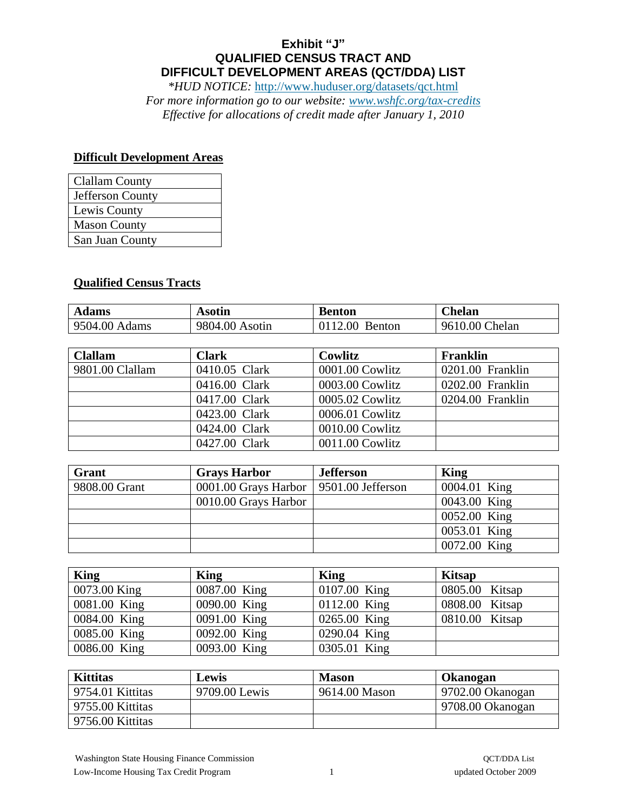## **Exhibit "J" QUALIFIED CENSUS TRACT AND DIFFICULT DEVELOPMENT AREAS (QCT/DDA) LIST**

*\*HUD NOTICE:* <http://www.huduser.org/datasets/qct.html>

*For more information go to our website: [www.wshfc.org/tax-credits](http://www.wshfc.org/tax-credits)  Effective for allocations of credit made after January 1, 2010* 

## **Difficult Development Areas**

| <b>Clallam County</b> |
|-----------------------|
| Jefferson County      |
| Lewis County          |
| <b>Mason County</b>   |
| San Juan County       |

## **Qualified Census Tracts**

| <b>Adams</b>  | Asotin         | Benton         | Chelan         |
|---------------|----------------|----------------|----------------|
| 9504.00 Adams | 9804.00 Asotin | 0112.00 Benton | 9610.00 Chelan |

| <b>Clallam</b>  | <b>Clark</b>  | Cowlitz         | Franklin         |
|-----------------|---------------|-----------------|------------------|
| 9801.00 Clallam | 0410.05 Clark | 0001.00 Cowlitz | 0201.00 Franklin |
|                 | 0416.00 Clark | 0003.00 Cowlitz | 0202.00 Franklin |
|                 | 0417.00 Clark | 0005.02 Cowlitz | 0204.00 Franklin |
|                 | 0423.00 Clark | 0006.01 Cowlitz |                  |
|                 | 0424.00 Clark | 0010.00 Cowlitz |                  |
|                 | 0427.00 Clark | 0011.00 Cowlitz |                  |

| Grant         | <b>Grays Harbor</b>                      | <b>Jefferson</b> | King         |
|---------------|------------------------------------------|------------------|--------------|
| 9808.00 Grant | 0001.00 Grays Harbor   9501.00 Jefferson |                  | 0004.01 King |
|               | 0010.00 Grays Harbor                     |                  | 0043.00 King |
|               |                                          |                  | 0052.00 King |
|               |                                          |                  | 0053.01 King |
|               |                                          |                  | 0072.00 King |

| <b>King</b>  | King         | King           | <b>Kitsap</b>  |
|--------------|--------------|----------------|----------------|
| 0073.00 King | 0087.00 King | 0107.00 King   | 0805.00 Kitsap |
| 0081.00 King | 0090.00 King | $0112.00$ King | 0808.00 Kitsap |
| 0084.00 King | 0091.00 King | 0265.00 King   | 0810.00 Kitsap |
| 0085.00 King | 0092.00 King | 0290.04 King   |                |
| 0086.00 King | 0093.00 King | 0305.01 King   |                |

| <b>Kittitas</b>  | Lewis         | <b>Mason</b>  | Okanogan          |
|------------------|---------------|---------------|-------------------|
| 9754.01 Kittitas | 9709.00 Lewis | 9614.00 Mason | 19702.00 Okanogan |
| 9755.00 Kittitas |               |               | 9708.00 Okanogan  |
| 9756.00 Kittitas |               |               |                   |